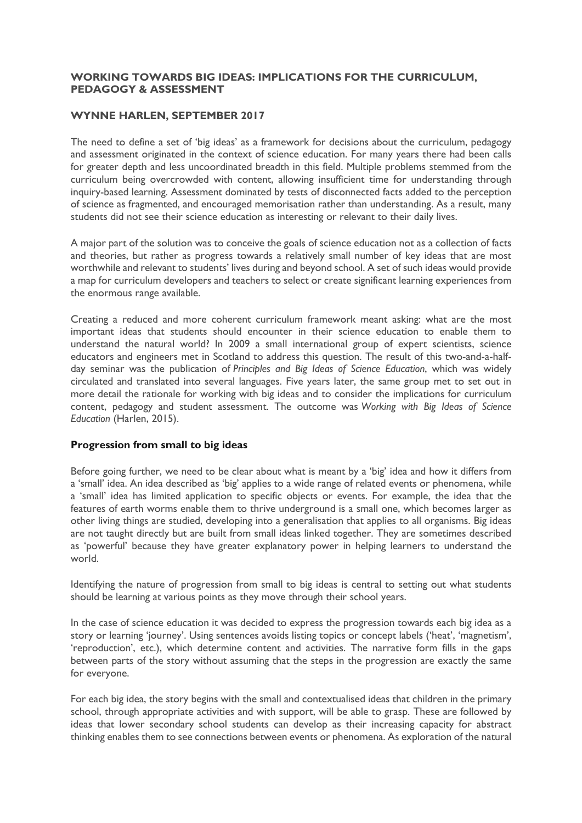# **WORKING TOWARDS BIG IDEAS: IMPLICATIONS FOR THE CURRICULUM, PEDAGOGY & ASSESSMENT**

### **WYNNE HARLEN, SEPTEMBER 2017**

The need to define a set of 'big ideas' as a framework for decisions about the curriculum, pedagogy and assessment originated in the context of science education. For many years there had been calls for greater depth and less uncoordinated breadth in this field. Multiple problems stemmed from the curriculum being overcrowded with content, allowing insufficient time for understanding through inquiry-based learning. Assessment dominated by tests of disconnected facts added to the perception of science as fragmented, and encouraged memorisation rather than understanding. As a result, many students did not see their science education as interesting or relevant to their daily lives.

A major part of the solution was to conceive the goals of science education not as a collection of facts and theories, but rather as progress towards a relatively small number of key ideas that are most worthwhile and relevant to students' lives during and beyond school. A set of such ideas would provide a map for curriculum developers and teachers to select or create significant learning experiences from the enormous range available.

Creating a reduced and more coherent curriculum framework meant asking: what are the most important ideas that students should encounter in their science education to enable them to understand the natural world? In 2009 a small international group of expert scientists, science educators and engineers met in Scotland to address this question. The result of this two-and-a-halfday seminar was the publication of *Principles and Big Ideas of Science Education*, which was widely circulated and translated into several languages. Five years later, the same group met to set out in more detail the rationale for working with big ideas and to consider the implications for curriculum content, pedagogy and student assessment. The outcome was *Working with Big Ideas of Science Education* (Harlen, 2015).

#### **Progression from small to big ideas**

Before going further, we need to be clear about what is meant by a 'big' idea and how it differs from a 'small' idea. An idea described as 'big' applies to a wide range of related events or phenomena, while a 'small' idea has limited application to specific objects or events. For example, the idea that the features of earth worms enable them to thrive underground is a small one, which becomes larger as other living things are studied, developing into a generalisation that applies to all organisms. Big ideas are not taught directly but are built from small ideas linked together. They are sometimes described as 'powerful' because they have greater explanatory power in helping learners to understand the world.

Identifying the nature of progression from small to big ideas is central to setting out what students should be learning at various points as they move through their school years.

In the case of science education it was decided to express the progression towards each big idea as a story or learning 'journey'. Using sentences avoids listing topics or concept labels ('heat', 'magnetism', 'reproduction', etc.), which determine content and activities. The narrative form fills in the gaps between parts of the story without assuming that the steps in the progression are exactly the same for everyone.

For each big idea, the story begins with the small and contextualised ideas that children in the primary school, through appropriate activities and with support, will be able to grasp. These are followed by ideas that lower secondary school students can develop as their increasing capacity for abstract thinking enables them to see connections between events or phenomena. As exploration of the natural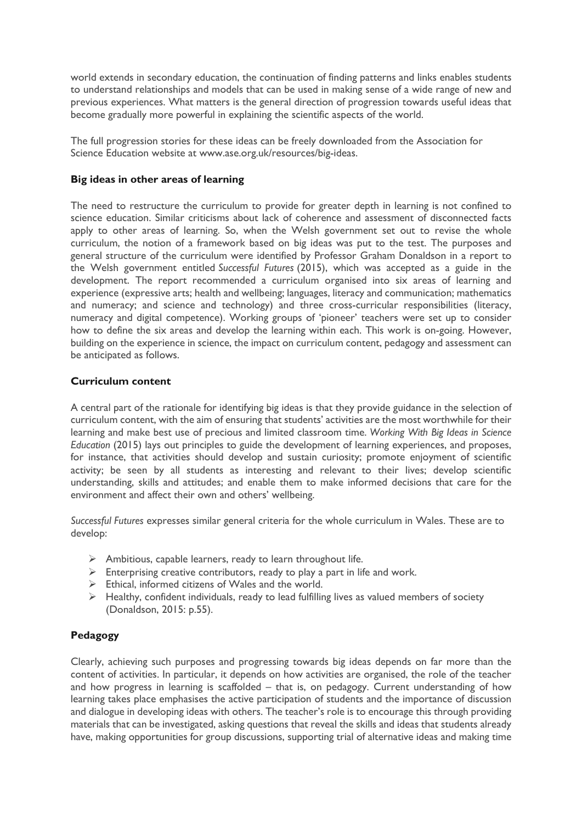world extends in secondary education, the continuation of finding patterns and links enables students to understand relationships and models that can be used in making sense of a wide range of new and previous experiences. What matters is the general direction of progression towards useful ideas that become gradually more powerful in explaining the scientific aspects of the world.

The full progression stories for these ideas can be freely downloaded from the Association for Science Education website at www.ase.org.uk/resources/big-ideas.

### **Big ideas in other areas of learning**

The need to restructure the curriculum to provide for greater depth in learning is not confined to science education. Similar criticisms about lack of coherence and assessment of disconnected facts apply to other areas of learning. So, when the Welsh government set out to revise the whole curriculum, the notion of a framework based on big ideas was put to the test. The purposes and general structure of the curriculum were identified by Professor Graham Donaldson in a report to the Welsh government entitled *Successful Futures* (2015), which was accepted as a guide in the development. The report recommended a curriculum organised into six areas of learning and experience (expressive arts; health and wellbeing; languages, literacy and communication; mathematics and numeracy; and science and technology) and three cross-curricular responsibilities (literacy, numeracy and digital competence). Working groups of 'pioneer' teachers were set up to consider how to define the six areas and develop the learning within each. This work is on-going. However, building on the experience in science, the impact on curriculum content, pedagogy and assessment can be anticipated as follows.

### **Curriculum content**

A central part of the rationale for identifying big ideas is that they provide guidance in the selection of curriculum content, with the aim of ensuring that students' activities are the most worthwhile for their learning and make best use of precious and limited classroom time. *Working With Big Ideas in Science Education* (2015) lays out principles to guide the development of learning experiences, and proposes, for instance, that activities should develop and sustain curiosity; promote enjoyment of scientific activity; be seen by all students as interesting and relevant to their lives; develop scientific understanding, skills and attitudes; and enable them to make informed decisions that care for the environment and affect their own and others' wellbeing.

*Successful Futures* expresses similar general criteria for the whole curriculum in Wales. These are to develop:

- $\triangleright$  Ambitious, capable learners, ready to learn throughout life.
- $\triangleright$  Enterprising creative contributors, ready to play a part in life and work.
- $\triangleright$  Ethical, informed citizens of Wales and the world.
- $\triangleright$  Healthy, confident individuals, ready to lead fulfilling lives as valued members of society (Donaldson, 2015: p.55).

# **Pedagogy**

Clearly, achieving such purposes and progressing towards big ideas depends on far more than the content of activities. In particular, it depends on how activities are organised, the role of the teacher and how progress in learning is scaffolded – that is, on pedagogy. Current understanding of how learning takes place emphasises the active participation of students and the importance of discussion and dialogue in developing ideas with others. The teacher's role is to encourage this through providing materials that can be investigated, asking questions that reveal the skills and ideas that students already have, making opportunities for group discussions, supporting trial of alternative ideas and making time